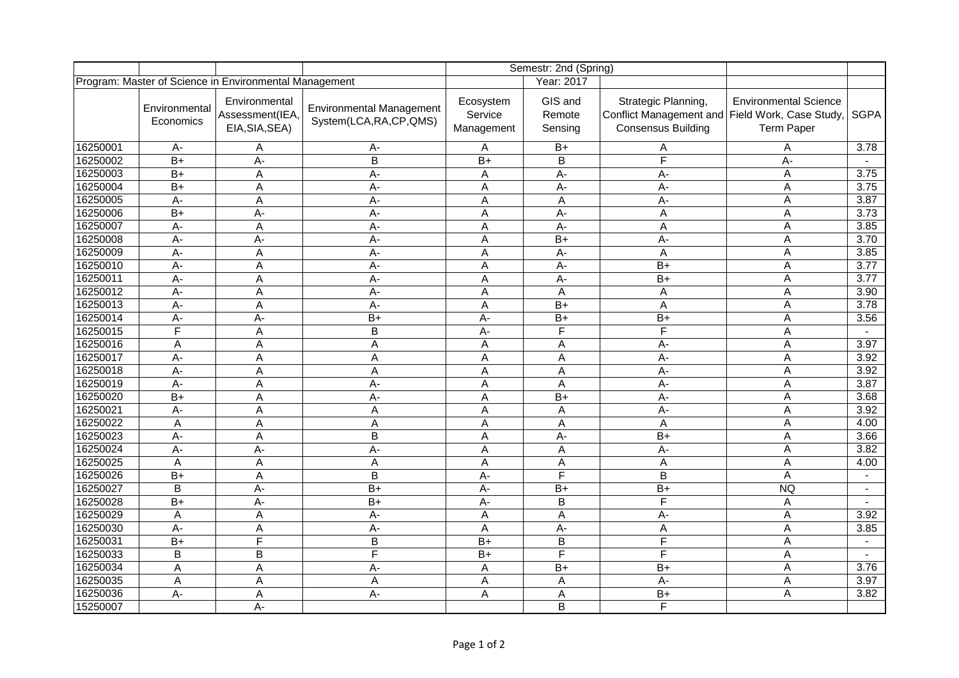|                                                        |                            |                                                    |                                                             |                                    | Semestr: 2nd (Spring)        |                                                                                                     |                                                   |                   |
|--------------------------------------------------------|----------------------------|----------------------------------------------------|-------------------------------------------------------------|------------------------------------|------------------------------|-----------------------------------------------------------------------------------------------------|---------------------------------------------------|-------------------|
| Program: Master of Science in Environmental Management |                            |                                                    |                                                             | Year: 2017                         |                              |                                                                                                     |                                                   |                   |
|                                                        | Environmental<br>Economics | Environmental<br>Assessment(IEA,<br>EIA, SIA, SEA) | <b>Environmental Management</b><br>System(LCA, RA, CP, QMS) | Ecosystem<br>Service<br>Management | GIS and<br>Remote<br>Sensing | Strategic Planning,<br>Conflict Management and Field Work, Case Study,<br><b>Consensus Building</b> | <b>Environmental Science</b><br><b>Term Paper</b> | <b>SGPA</b>       |
| 16250001                                               | $A -$                      | Α                                                  | A-                                                          | Α                                  | $B+$                         | А                                                                                                   | A                                                 | 3.78              |
| 16250002                                               | $B+$                       | A-                                                 | B                                                           | $B+$                               | B                            | F                                                                                                   | A-                                                | $\sim$            |
| 16250003                                               | $B+$                       | A                                                  | A-                                                          | A                                  | A-                           | А-                                                                                                  | Α                                                 | 3.75              |
| 16250004                                               | $B+$                       | A                                                  | А-                                                          | A                                  | A-                           | A-                                                                                                  | A                                                 | 3.75              |
| 16250005                                               | $A -$                      | A                                                  | $\overline{A}$                                              | A                                  | A                            | A-                                                                                                  | $\overline{A}$                                    | 3.87              |
| 16250006                                               | $\overline{B+}$            | А-                                                 | $\overline{A}$                                              | A                                  | A-                           | A                                                                                                   | A                                                 | 3.73              |
| 16250007                                               | $A -$                      | A                                                  | A-                                                          | A                                  | $A -$                        | A                                                                                                   | A                                                 | $\frac{1}{3.85}$  |
| 16250008                                               | A-                         | A-                                                 | A-                                                          | A                                  | $B+$                         | $A -$                                                                                               | A                                                 | 3.70              |
| 16250009                                               | $A -$                      | A                                                  | $A -$                                                       | A                                  | $A -$                        | A                                                                                                   | A                                                 | $\frac{1}{3.85}$  |
| 16250010                                               | $\overline{A}$             | A                                                  | $\overline{A}$                                              | A                                  | $\overline{A}$               | $\overline{B+}$                                                                                     | A                                                 | $\overline{3.77}$ |
| 16250011                                               | $A -$                      | A                                                  | A-                                                          | A                                  | $A -$                        | $B+$                                                                                                | A                                                 | 3.77              |
| 16250012                                               | A-                         | A                                                  | $A -$                                                       | A                                  | Α                            | A                                                                                                   | A                                                 | 3.90              |
| 16250013                                               | A-                         | A                                                  | A-                                                          | A                                  | $B+$                         | A                                                                                                   | A                                                 | 3.78              |
| 16250014                                               | $A -$                      | A-                                                 | $\overline{B+}$                                             | A-                                 | $\overline{B+}$              | $\overline{B+}$                                                                                     | A                                                 | 3.56              |
| 16250015                                               | F                          | A                                                  | $\overline{B}$                                              | $A -$                              | F                            | $\overline{\mathsf{F}}$                                                                             | A                                                 | $\sim$            |
| 16250016                                               | Α                          | Α                                                  | А                                                           | A                                  | Α                            | A-                                                                                                  | A                                                 | 3.97              |
| 16250017                                               | A-                         | A                                                  | $\overline{A}$                                              | A                                  | A                            | $A -$                                                                                               | $\boldsymbol{\mathsf{A}}$                         | 3.92              |
| 16250018                                               | A-                         | A                                                  | A                                                           | Α                                  | A                            | A-                                                                                                  | A                                                 | 3.92              |
| 16250019                                               | A-                         | A                                                  | $A -$                                                       | A                                  | A                            | A-                                                                                                  | A                                                 | 3.87              |
| 16250020                                               | $B+$                       | A                                                  | A-                                                          | A                                  | $B+$                         | $A -$                                                                                               | Α                                                 | 3.68              |
| 16250021                                               | $A -$                      | A                                                  | A                                                           | A                                  | A                            | A-                                                                                                  | A                                                 | 3.92              |
| 16250022                                               | $\overline{A}$             | A                                                  | $\overline{A}$                                              | A                                  | A                            | $\overline{A}$                                                                                      | A                                                 | 4.00              |
| 16250023                                               | $A -$                      | A                                                  | B                                                           | Α                                  | A-                           | $B+$                                                                                                | A                                                 | 3.66              |
| 16250024                                               | A-                         | A-                                                 | А-                                                          | A                                  | A                            | $A -$                                                                                               | A                                                 | 3.82              |
| 16250025                                               | A                          | A                                                  | A                                                           | A                                  | Α                            | A                                                                                                   | A                                                 | 4.00              |
| 16250026                                               | $B+$                       | A                                                  | B                                                           | A-                                 | F                            | B                                                                                                   | $\boldsymbol{\mathsf{A}}$                         | $\blacksquare$    |
| 16250027                                               | $\overline{B}$             | A-                                                 | $\overline{B+}$                                             | $A -$                              | $B+$                         | $B+$                                                                                                | <b>NQ</b>                                         |                   |
| 16250028                                               | $B+$                       | А-                                                 | $B+$                                                        | A-                                 | B                            | F                                                                                                   | A                                                 | $\sim$            |
| 16250029                                               | Α                          | A                                                  | A-                                                          | A                                  | A                            | A-                                                                                                  | A                                                 | 3.92              |
| 16250030                                               | A-                         | Α                                                  | A-                                                          | A                                  | $A -$                        | A                                                                                                   | A                                                 | 3.85              |
| 16250031                                               | $\overline{B+}$            | $\overline{\mathsf{F}}$                            | $\overline{B}$                                              | $\overline{B+}$                    | $\overline{\mathsf{B}}$      | $\overline{\mathsf{F}}$                                                                             | A                                                 | $\blacksquare$    |
| 16250033                                               | B                          | B                                                  | $\overline{\mathsf{F}}$                                     | $B+$                               | F                            | $\overline{\mathsf{F}}$                                                                             | A                                                 | $\blacksquare$    |
| 16250034                                               | A                          | A                                                  | A-                                                          | A                                  | $B+$                         | $B+$                                                                                                | A                                                 | 3.76              |
| 16250035                                               | A                          | A                                                  | A                                                           | A                                  | A                            | A-                                                                                                  | A                                                 | 3.97              |
| 16250036                                               | $\overline{A}$             | A                                                  | $\overline{A}$                                              | A                                  | Α                            | $\overline{B+}$                                                                                     | A                                                 | 3.82              |
| 15250007                                               |                            | A-                                                 |                                                             |                                    | B                            | F                                                                                                   |                                                   |                   |